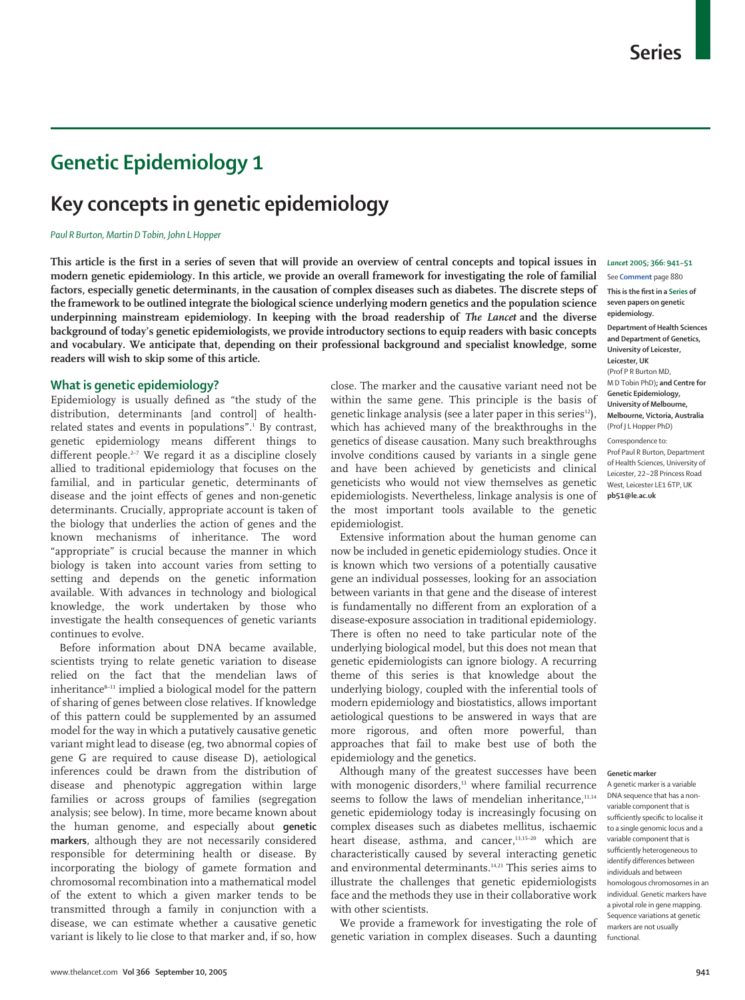# **Genetic Epidemiology 1**

# **Key concepts in genetic epidemiology**

### *Paul R Burton, Martin D Tobin, John L Hopper*

**This article is the first in a series of seven that will provide an overview of central concepts and topical issues in modern genetic epidemiology. In this article, we provide an overall framework for investigating the role of familial factors, especially genetic determinants, in the causation of complex diseases such as diabetes. The discrete steps of the framework to be outlined integrate the biological science underlying modern genetics and the population science underpinning mainstream epidemiology. In keeping with the broad readership of** *The Lancet* **and the diverse background of today's genetic epidemiologists, we provide introductory sections to equip readers with basic concepts and vocabulary. We anticipate that, depending on their professional background and specialist knowledge, some readers will wish to skip some of this article.**

# **What is genetic epidemiology?**

Epidemiology is usually defined as "the study of the distribution, determinants [and control] of healthrelated states and events in populations".<sup>1</sup> By contrast, genetic epidemiology means different things to different people.<sup>2-7</sup> We regard it as a discipline closely allied to traditional epidemiology that focuses on the familial, and in particular genetic, determinants of disease and the joint effects of genes and non-genetic determinants. Crucially, appropriate account is taken of the biology that underlies the action of genes and the known mechanisms of inheritance. The word "appropriate" is crucial because the manner in which biology is taken into account varies from setting to setting and depends on the genetic information available. With advances in technology and biological knowledge, the work undertaken by those who investigate the health consequences of genetic variants continues to evolve.

Before information about DNA became available, scientists trying to relate genetic variation to disease relied on the fact that the mendelian laws of inheritance<sup>8-11</sup> implied a biological model for the pattern of sharing of genes between close relatives. If knowledge of this pattern could be supplemented by an assumed model for the way in which a putatively causative genetic variant might lead to disease (eg, two abnormal copies of gene G are required to cause disease D), aetiological inferences could be drawn from the distribution of disease and phenotypic aggregation within large families or across groups of families (segregation analysis; see below). In time, more became known about the human genome, and especially about **genetic markers**, although they are not necessarily considered responsible for determining health or disease. By incorporating the biology of gamete formation and chromosomal recombination into a mathematical model of the extent to which a given marker tends to be transmitted through a family in conjunction with a disease, we can estimate whether a causative genetic variant is likely to lie close to that marker and, if so, how

close. The marker and the causative variant need not be within the same gene. This principle is the basis of genetic linkage analysis (see a later paper in this series<sup>12</sup>), which has achieved many of the breakthroughs in the genetics of disease causation. Many such breakthroughs involve conditions caused by variants in a single gene and have been achieved by geneticists and clinical geneticists who would not view themselves as genetic epidemiologists. Nevertheless, linkage analysis is one of the most important tools available to the genetic epidemiologist.

Extensive information about the human genome can now be included in genetic epidemiology studies. Once it is known which two versions of a potentially causative gene an individual possesses, looking for an association between variants in that gene and the disease of interest is fundamentally no different from an exploration of a disease-exposure association in traditional epidemiology. There is often no need to take particular note of the underlying biological model, but this does not mean that genetic epidemiologists can ignore biology. A recurring theme of this series is that knowledge about the underlying biology, coupled with the inferential tools of modern epidemiology and biostatistics, allows important aetiological questions to be answered in ways that are more rigorous, and often more powerful, than approaches that fail to make best use of both the epidemiology and the genetics.

Although many of the greatest successes have been with monogenic disorders,<sup>13</sup> where familial recurrence seems to follow the laws of mendelian inheritance,<sup>11,14</sup> genetic epidemiology today is increasingly focusing on complex diseases such as diabetes mellitus, ischaemic heart disease, asthma, and cancer,<sup>13,15-20</sup> which are characteristically caused by several interacting genetic and environmental determinants.<sup>14,21</sup> This series aims to illustrate the challenges that genetic epidemiologists face and the methods they use in their collaborative work with other scientists.

We provide a framework for investigating the role of genetic variation in complex diseases. Such a daunting

# *Lancet* **2005; 366: 941–51**

See **Comment** page 880

**This is the first in a Series of seven papers on genetic epidemiology. Department of Health Sciences and Department of Genetics, University of Leicester, Leicester, UK** (Prof P R Burton MD, M D Tobin PhD)**; and Centre for Genetic Epidemiology, University of Melbourne, Melbourne, Victoria, Australia** (Prof J L Hopper PhD) Correspondence to: Prof Paul R Burton, Department

of Health Sciences, University of Leicester, 22–28 Princess Road West, Leicester LE1 6TP, UK **pb51@le.ac.uk**

#### **Genetic marker**

A genetic marker is a variable DNA sequence that has a nonvariable component that is sufficiently specific to localise it to a single genomic locus and a variable component that is sufficiently heterogeneous to identify differences between individuals and between homologous chromosomes in an individual. Genetic markers have a pivotal role in gene mapping. Sequence variations at genetic markers are not usually functional.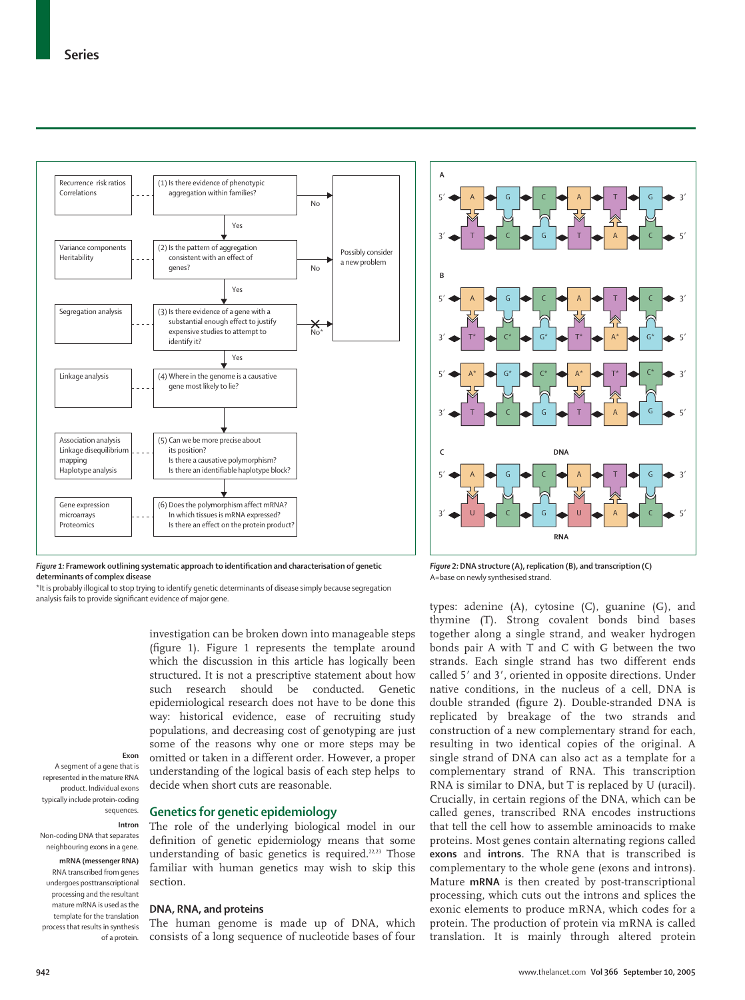

*Figure 1:* **Framework outlining systematic approach to identification and characterisation of genetic determinants of complex disease** 

\*It is probably illogical to stop trying to identify genetic determinants of disease simply because segregation analysis fails to provide significant evidence of major gene.

> investigation can be broken down into manageable steps (figure 1). Figure 1 represents the template around which the discussion in this article has logically been structured. It is not a prescriptive statement about how such research should be conducted. Genetic epidemiological research does not have to be done this way: historical evidence, ease of recruiting study populations, and decreasing cost of genotyping are just some of the reasons why one or more steps may be omitted or taken in a different order. However, a proper understanding of the logical basis of each step helps to decide when short cuts are reasonable.

#### **Exon** A segment of a gene that is

represented in the mature RNA product. Individual exons typically include protein-coding sequences.

**Intron**

Non-coding DNA that separates neighbouring exons in a gene.

**mRNA (messenger RNA)**  RNA transcribed from genes undergoes posttranscriptional processing and the resultant mature mRNA is used as the template for the translation process that results in synthesis of a protein.

# **Genetics for genetic epidemiology**

The role of the underlying biological model in our definition of genetic epidemiology means that some understanding of basic genetics is required.<sup>22,23</sup> Those familiar with human genetics may wish to skip this section.

## **DNA, RNA, and proteins**

The human genome is made up of DNA, which consists of a long sequence of nucleotide bases of four



*Figure 2:* **DNA structure (A), replication (B), and transcription (C)** A=base on newly synthesised strand.

types: adenine (A), cytosine (C), guanine (G), and thymine (T). Strong covalent bonds bind bases together along a single strand, and weaker hydrogen bonds pair A with T and C with G between the two strands. Each single strand has two different ends called 5' and 3', oriented in opposite directions. Under native conditions, in the nucleus of a cell, DNA is double stranded (figure 2). Double-stranded DNA is replicated by breakage of the two strands and construction of a new complementary strand for each, resulting in two identical copies of the original. A single strand of DNA can also act as a template for a complementary strand of RNA. This transcription RNA is similar to DNA, but T is replaced by U (uracil). Crucially, in certain regions of the DNA, which can be called genes, transcribed RNA encodes instructions that tell the cell how to assemble aminoacids to make proteins. Most genes contain alternating regions called **exons** and **introns**. The RNA that is transcribed is complementary to the whole gene (exons and introns). Mature **mRNA** is then created by post-transcriptional processing, which cuts out the introns and splices the exonic elements to produce mRNA, which codes for a protein. The production of protein via mRNA is called translation. It is mainly through altered protein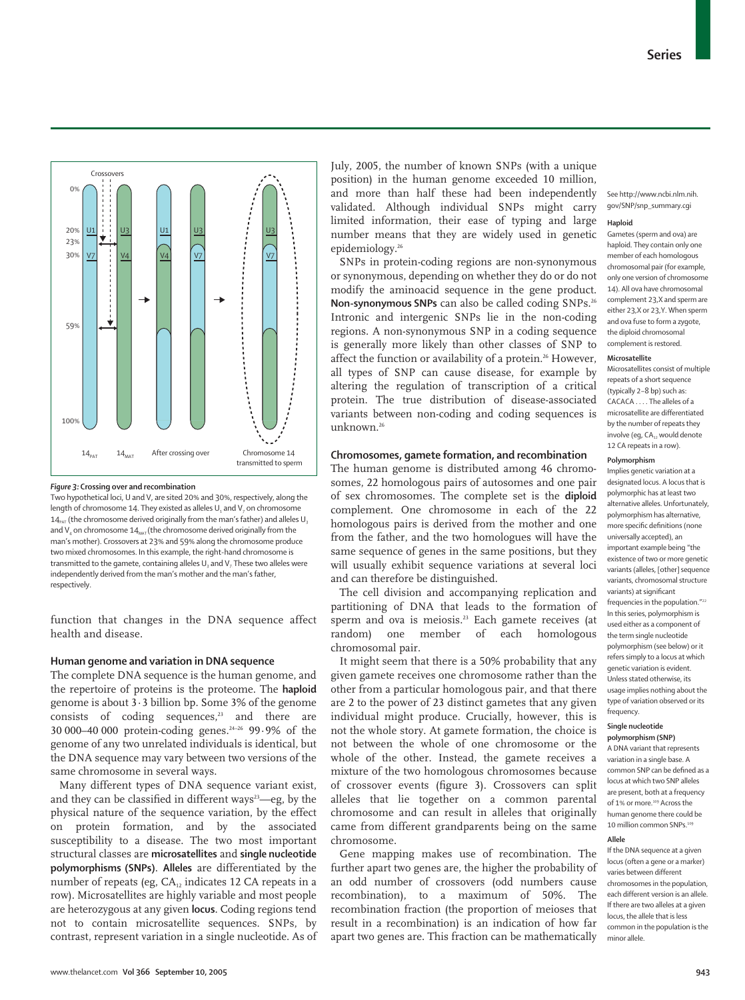

#### *Figure 3:* **Crossing over and recombination**

Two hypothetical loci, U and V, are sited 20% and 30%, respectively, along the length of chromosome 14. They existed as alleles  $U_1$  and  $V_7$  on chromosome  $14_{\text{part}}$  (the chromosome derived originally from the man's father) and alleles U. and  $V_4$  on chromosome  $14<sub>MAT</sub>$  (the chromosome derived originally from the man's mother). Crossovers at 23% and 59% along the chromosome produce two mixed chromosomes. In this example, the right-hand chromosome is transmitted to the gamete, containing alleles  $U_3$  and  $V_7$  These two alleles were independently derived from the man's mother and the man's father, respectively.

function that changes in the DNA sequence affect health and disease.

#### **Human genome and variation in DNA sequence**

The complete DNA sequence is the human genome, and the repertoire of proteins is the proteome. The **haploid** genome is about 3·3 billion bp. Some 3% of the genome consists of coding sequences, $23$  and there are 30 000–40 000 protein-coding genes.24–26 99·9% of the genome of any two unrelated individuals is identical, but the DNA sequence may vary between two versions of the same chromosome in several ways.

Many different types of DNA sequence variant exist, and they can be classified in different ways $3$ —eg, by the physical nature of the sequence variation, by the effect on protein formation, and by the associated susceptibility to a disease. The two most important structural classes are **microsatellites** and **single nucleotide polymorphisms (SNPs)**. **Alleles** are differentiated by the number of repeats (eg,  $CA_{12}$  indicates 12 CA repeats in a row). Microsatellites are highly variable and most people are heterozygous at any given **locus**. Coding regions tend not to contain microsatellite sequences. SNPs, by contrast, represent variation in a single nucleotide. As of July, 2005, the number of known SNPs (with a unique position) in the human genome exceeded 10 million, and more than half these had been independently validated. Although individual SNPs might carry limited information, their ease of typing and large number means that they are widely used in genetic epidemiology.26

SNPs in protein-coding regions are non-synonymous or synonymous, depending on whether they do or do not modify the aminoacid sequence in the gene product. **Non-synonymous SNPs** can also be called coding SNPs.26 Intronic and intergenic SNPs lie in the non-coding regions. A non-synonymous SNP in a coding sequence is generally more likely than other classes of SNP to affect the function or availability of a protein.<sup>26</sup> However, all types of SNP can cause disease, for example by altering the regulation of transcription of a critical protein. The true distribution of disease-associated variants between non-coding and coding sequences is unknown.26

# **Chromosomes, gamete formation, and recombination**

The human genome is distributed among 46 chromosomes, 22 homologous pairs of autosomes and one pair of sex chromosomes. The complete set is the **diploid** complement. One chromosome in each of the 22 homologous pairs is derived from the mother and one from the father, and the two homologues will have the same sequence of genes in the same positions, but they will usually exhibit sequence variations at several loci and can therefore be distinguished.

The cell division and accompanying replication and partitioning of DNA that leads to the formation of sperm and ova is meiosis.<sup>23</sup> Each gamete receives (at random) one member of each homologous chromosomal pair.

It might seem that there is a 50% probability that any given gamete receives one chromosome rather than the other from a particular homologous pair, and that there are 2 to the power of 23 distinct gametes that any given individual might produce. Crucially, however, this is not the whole story. At gamete formation, the choice is not between the whole of one chromosome or the whole of the other. Instead, the gamete receives a mixture of the two homologous chromosomes because of crossover events (figure 3). Crossovers can split alleles that lie together on a common parental chromosome and can result in alleles that originally came from different grandparents being on the same chromosome.

Gene mapping makes use of recombination. The further apart two genes are, the higher the probability of an odd number of crossovers (odd numbers cause recombination), to a maximum of 50%. The recombination fraction (the proportion of meioses that result in a recombination) is an indication of how far apart two genes are. This fraction can be mathematically

See http://www.ncbi.nlm.nih. gov/SNP/snp\_summary.cgi

#### **Haploid**

Gametes (sperm and ova) are haploid. They contain only one member of each homologous chromosomal pair (for example, only one version of chromosome 14). All ova have chromosomal complement 23,X and sperm are either 23,X or 23,Y. When sperm and ova fuse to form a zygote, the diploid chromosomal complement is restored.

#### **Microsatellite**

Microsatellites consist of multiple repeats of a short sequence (typically 2–8 bp) such as:  $CACACA$  . The alleles of a microsatellite are differentiated by the number of repeats they involve (eg, CA., would denote 12 CA repeats in a row).

#### **Polymorphism**

Implies genetic variation at a designated locus. A locus that is polymorphic has at least two alternative alleles. Unfortunately, polymorphism has alternative, more specific definitions (none universally accepted), an important example being "the existence of two or more genetic variants (alleles, [other] sequence variants, chromosomal structure variants) at significant frequencies in the population."<sup>22</sup> In this series, polymorphism is used either as a component of the term single nucleotide polymorphism (see below) or it refers simply to a locus at which genetic variation is evident. Unless stated otherwise, its usage implies nothing about the type of variation observed or its frequency.

#### **Single nucleotide**

**polymorphism (SNP)** A DNA variant that represents variation in a single base. A common SNP can be defined as a locus at which two SNP alleles are present, both at a frequency of 1% or more.<sup>109</sup> Across the human genome there could be 10 million common SNPs.<sup>109</sup>

#### **Allele**

If the DNA sequence at a given locus (often a gene or a marker) varies between different chromosomes in the population, each different version is an allele. If there are two alleles at a given locus, the allele that is less common in the population is the minor allele.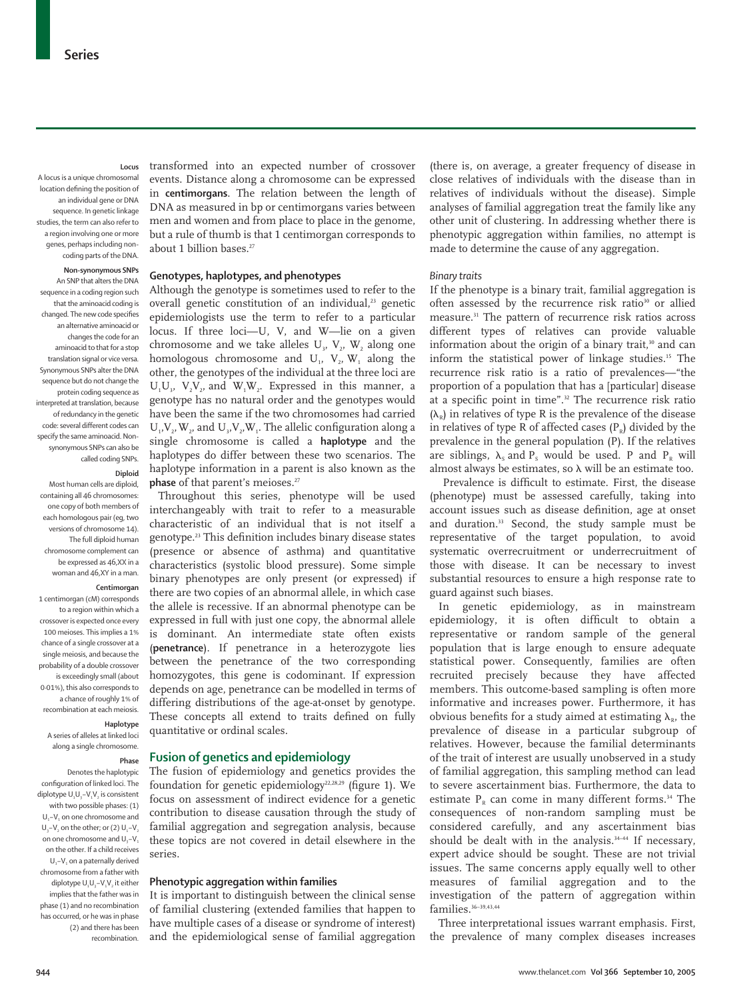### **Locus**

A locus is a unique chromosomal location defining the position of an individual gene or DNA sequence. In genetic linkage studies, the term can also refer to a region involving one or more genes, perhaps including noncoding parts of the DNA.

#### **Non-synonymous SNPs**

An SNP that alters the DNA sequence in a coding region such that the aminoacid coding is changed. The new code specifies an alternative aminoacid or changes the code for an aminoacid to that for a stop translation signal or vice versa. Synonymous SNPs alter the DNA sequence but do not change the protein coding sequence as interpreted at translation, because of redundancy in the genetic code: several different codes can specify the same aminoacid. Nonsynonymous SNPs can also be called coding SNPs.

#### **Diploid**

Most human cells are diploid, containing all 46 chromosomes: one copy of both members of each homologous pair (eg, two versions of chromosome 14). The full diploid human chromosome complement can be expressed as 46,XX in a woman and 46,XY in a man.

# **Centimorgan**

1 centimorgan (cM) corresponds to a region within which a crossover is expected once every 100 meioses. This implies a 1% chance of a single crossover at a single meiosis, and because the probability of a double crossover is exceedingly small (about 0·01%), this also corresponds to a chance of roughly 1% of recombination at each meiosis.

#### **Haplotype**

A series of alleles at linked loci along a single chromosome.

#### **Phase**

Denotes the haplotypic configuration of linked loci. The diplotype U.U<sub>2</sub>-V.V<sub>2</sub> is consistent with two possible phases: (1)  $U_1$ – $V_1$  on one chromosome and U<sub>2</sub>–V<sub>2</sub> on the other; or  $(2)$  U<sub>1</sub>–V<sub>2</sub> on one chromosome and  $U, -V$ on the other. If a child receives  $U_1$ –V<sub>1</sub> on a paternally derived chromosome from a father with diplotype U,U<sub>2</sub>-V,V<sub>2</sub> it either implies that the father was in phase (1) and no recombination has occurred, or he was in phase (2) and there has been recombination.

transformed into an expected number of crossover events. Distance along a chromosome can be expressed in **centimorgans**. The relation between the length of DNA as measured in bp or centimorgans varies between men and women and from place to place in the genome, but a rule of thumb is that 1 centimorgan corresponds to about 1 billion bases.<sup>27</sup>

#### **Genotypes, haplotypes, and phenotypes**

Although the genotype is sometimes used to refer to the overall genetic constitution of an individual.<sup>23</sup> genetic epidemiologists use the term to refer to a particular locus. If three loci—U, V, and W—lie on a given chromosome and we take alleles  $U_i$ ,  $V_i$ ,  $W_j$ , along one homologous chromosome and  $U_1$ ,  $V_2$ ,  $W_1$  along the other, the genotypes of the individual at the three loci are  $U_1U_2$ ,  $V_2V_2$ , and  $W_1W_2$ . Expressed in this manner, a genotype has no natural order and the genotypes would have been the same if the two chromosomes had carried  $U_1, V_2, W_3$ , and  $U_3, V_2, W_4$ . The allelic configuration along a single chromosome is called a **haplotype** and the haplotypes do differ between these two scenarios. The haplotype information in a parent is also known as the **phase** of that parent's meioses.<sup>27</sup>

Throughout this series, phenotype will be used interchangeably with trait to refer to a measurable characteristic of an individual that is not itself a genotype.23 This definition includes binary disease states (presence or absence of asthma) and quantitative characteristics (systolic blood pressure). Some simple binary phenotypes are only present (or expressed) if there are two copies of an abnormal allele, in which case the allele is recessive. If an abnormal phenotype can be expressed in full with just one copy, the abnormal allele is dominant. An intermediate state often exists (**penetrance**). If penetrance in a heterozygote lies between the penetrance of the two corresponding homozygotes, this gene is codominant. If expression depends on age, penetrance can be modelled in terms of differing distributions of the age-at-onset by genotype. These concepts all extend to traits defined on fully quantitative or ordinal scales.

## **Fusion of genetics and epidemiology**

The fusion of epidemiology and genetics provides the foundation for genetic epidemiology<sup>22,28,29</sup> (figure 1). We focus on assessment of indirect evidence for a genetic contribution to disease causation through the study of familial aggregation and segregation analysis, because these topics are not covered in detail elsewhere in the series.

#### **Phenotypic aggregation within families**

It is important to distinguish between the clinical sense of familial clustering (extended families that happen to have multiple cases of a disease or syndrome of interest) and the epidemiological sense of familial aggregation (there is, on average, a greater frequency of disease in close relatives of individuals with the disease than in relatives of individuals without the disease). Simple analyses of familial aggregation treat the family like any other unit of clustering. In addressing whether there is phenotypic aggregation within families, no attempt is made to determine the cause of any aggregation.

#### *Binary traits*

If the phenotype is a binary trait, familial aggregation is often assessed by the recurrence risk ratio<sup>30</sup> or allied measure.31 The pattern of recurrence risk ratios across different types of relatives can provide valuable information about the origin of a binary trait, $30$  and can inform the statistical power of linkage studies.15 The recurrence risk ratio is a ratio of prevalences—"the proportion of a population that has a [particular] disease at a specific point in time".<sup>32</sup> The recurrence risk ratio  $(\lambda_{\nu})$  in relatives of type R is the prevalence of the disease in relatives of type R of affected cases  $(P_p)$  divided by the prevalence in the general population (P). If the relatives are siblings,  $\lambda_s$  and P<sub>s</sub> would be used. P and P<sub>R</sub> will almost always be estimates, so  $\lambda$  will be an estimate too.

Prevalence is difficult to estimate. First, the disease (phenotype) must be assessed carefully, taking into account issues such as disease definition, age at onset and duration.<sup>33</sup> Second, the study sample must be representative of the target population, to avoid systematic overrecruitment or underrecruitment of those with disease. It can be necessary to invest substantial resources to ensure a high response rate to guard against such biases.

In genetic epidemiology, as in mainstream epidemiology, it is often difficult to obtain a representative or random sample of the general population that is large enough to ensure adequate statistical power. Consequently, families are often recruited precisely because they have affected members. This outcome-based sampling is often more informative and increases power. Furthermore, it has obvious benefits for a study aimed at estimating  $\lambda_{\nu}$ , the prevalence of disease in a particular subgroup of relatives. However, because the familial determinants of the trait of interest are usually unobserved in a study of familial aggregation, this sampling method can lead to severe ascertainment bias. Furthermore, the data to estimate  $P_R$  can come in many different forms.<sup>34</sup> The consequences of non-random sampling must be considered carefully, and any ascertainment bias should be dealt with in the analysis.<sup>34-44</sup> If necessary, expert advice should be sought. These are not trivial issues. The same concerns apply equally well to other measures of familial aggregation and to the investigation of the pattern of aggregation within families.<sup>36-39,43,44</sup>

Three interpretational issues warrant emphasis. First, the prevalence of many complex diseases increases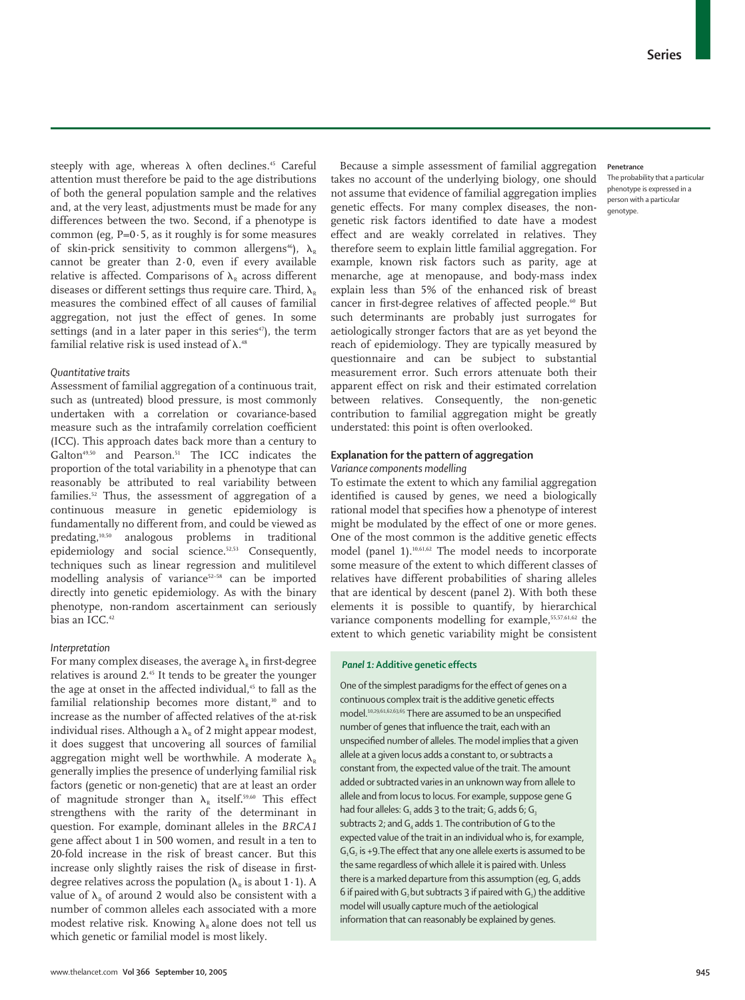steeply with age, whereas  $\lambda$  often declines.<sup>45</sup> Careful attention must therefore be paid to the age distributions of both the general population sample and the relatives and, at the very least, adjustments must be made for any differences between the two. Second, if a phenotype is common (eg,  $P=0.5$ , as it roughly is for some measures of skin-prick sensitivity to common allergens<sup>46</sup>),  $\lambda_{R}$ cannot be greater than 2·0, even if every available relative is affected. Comparisons of  $\lambda_{\rm R}$  across different diseases or different settings thus require care. Third,  $\lambda_{\nu}$ measures the combined effect of all causes of familial aggregation, not just the effect of genes. In some settings (and in a later paper in this series $47$ ), the term familial relative risk is used instead of  $\lambda$ .<sup>48</sup>

# *Quantitative traits*

Assessment of familial aggregation of a continuous trait, such as (untreated) blood pressure, is most commonly undertaken with a correlation or covariance-based measure such as the intrafamily correlation coefficient (ICC). This approach dates back more than a century to Galton<sup>49,50</sup> and Pearson.<sup>51</sup> The ICC indicates the proportion of the total variability in a phenotype that can reasonably be attributed to real variability between families.52 Thus, the assessment of aggregation of a continuous measure in genetic epidemiology is fundamentally no different from, and could be viewed as predating,10,50 analogous problems in traditional epidemiology and social science.52,53 Consequently, techniques such as linear regression and mulitilevel modelling analysis of variance<sup>52-58</sup> can be imported directly into genetic epidemiology. As with the binary phenotype, non-random ascertainment can seriously bias an ICC.<sup>42</sup>

## *Interpretation*

For many complex diseases, the average  $\lambda_{\rm R}$  in first-degree relatives is around 2.45 It tends to be greater the younger the age at onset in the affected individual,<sup>45</sup> to fall as the familial relationship becomes more distant,<sup>30</sup> and to increase as the number of affected relatives of the at-risk individual rises. Although a  $\lambda_n$  of 2 might appear modest, it does suggest that uncovering all sources of familial aggregation might well be worthwhile. A moderate  $\lambda_{\nu}$ generally implies the presence of underlying familial risk factors (genetic or non-genetic) that are at least an order of magnitude stronger than  $\lambda_{R}$  itself.<sup>59,60</sup> This effect strengthens with the rarity of the determinant in question. For example, dominant alleles in the *BRCA1* gene affect about 1 in 500 women, and result in a ten to 20-fold increase in the risk of breast cancer. But this increase only slightly raises the risk of disease in firstdegree relatives across the population  $(\lambda_{\rm R})$  is about 1 · 1). A value of  $\lambda_{R}$  of around 2 would also be consistent with a number of common alleles each associated with a more modest relative risk. Knowing  $\lambda_{\nu}$  alone does not tell us which genetic or familial model is most likely.

Because a simple assessment of familial aggregation takes no account of the underlying biology, one should not assume that evidence of familial aggregation implies genetic effects. For many complex diseases, the nongenetic risk factors identified to date have a modest effect and are weakly correlated in relatives. They therefore seem to explain little familial aggregation. For example, known risk factors such as parity, age at menarche, age at menopause, and body-mass index explain less than 5% of the enhanced risk of breast cancer in first-degree relatives of affected people.<sup>60</sup> But such determinants are probably just surrogates for aetiologically stronger factors that are as yet beyond the reach of epidemiology. They are typically measured by questionnaire and can be subject to substantial measurement error. Such errors attenuate both their apparent effect on risk and their estimated correlation between relatives. Consequently, the non-genetic contribution to familial aggregation might be greatly understated: this point is often overlooked.

# **Explanation for the pattern of aggregation**

# *Variance components modelling*

To estimate the extent to which any familial aggregation identified is caused by genes, we need a biologically rational model that specifies how a phenotype of interest might be modulated by the effect of one or more genes. One of the most common is the additive genetic effects model (panel 1).10,61,62 The model needs to incorporate some measure of the extent to which different classes of relatives have different probabilities of sharing alleles that are identical by descent (panel 2). With both these elements it is possible to quantify, by hierarchical variance components modelling for example,<sup>55,57,61,62</sup> the extent to which genetic variability might be consistent

# *Panel 1:* **Additive genetic effects**

One of the simplest paradigms for the effect of genes on a continuous complex trait is the additive genetic effects model.10,29,61,62,63,65 There are assumed to be an unspecified number of genes that influence the trait, each with an unspecified number of alleles. The model implies that a given allele at a given locus adds a constant to, or subtracts a constant from, the expected value of the trait. The amount added or subtracted varies in an unknown way from allele to allele and from locus to locus. For example, suppose gene G had four alleles:  $G_1$  adds 3 to the trait;  $G_2$  adds 6;  $G_3$ subtracts 2; and  $G_4$  adds 1. The contribution of G to the expected value of the trait in an individual who is, for example,  $G_1G_2$  is +9. The effect that any one allele exerts is assumed to be the same regardless of which allele it is paired with. Unless there is a marked departure from this assumption (eq,  $G<sub>1</sub>$  adds 6 if paired with G<sub>2</sub> but subtracts 3 if paired with G<sub>2</sub>) the additive model will usually capture much of the aetiological information that can reasonably be explained by genes.

# **Penetrance**

The probability that a particular phenotype is expressed in a person with a particular genotype.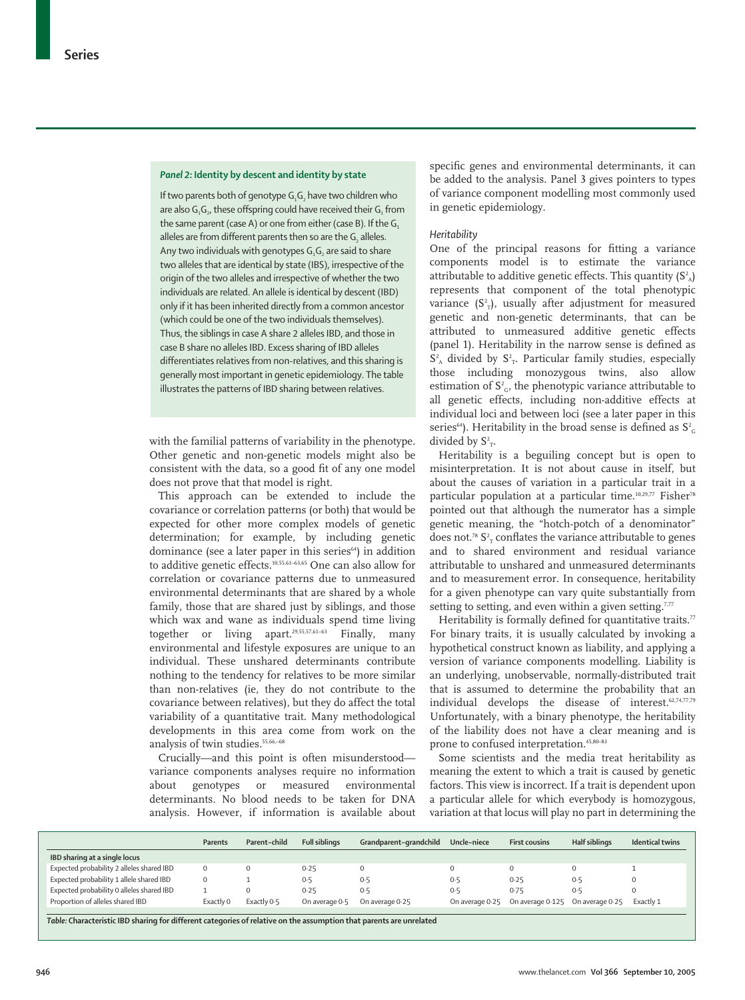#### *Panel 2:* **Identity by descent and identity by state**

If two parents both of genotype  $G_1G_2$  have two children who are also  $G_1G_2$ , these offspring could have received their  $G_1$  from the same parent (case A) or one from either (case B). If the  $G_1$ alleles are from different parents then so are the G<sub>2</sub> alleles. Any two individuals with genotypes  $G, G$ , are said to share two alleles that are identical by state (IBS), irrespective of the origin of the two alleles and irrespective of whether the two individuals are related. An allele is identical by descent (IBD) only if it has been inherited directly from a common ancestor (which could be one of the two individuals themselves). Thus, the siblings in case A share 2 alleles IBD, and those in case B share no alleles IBD. Excess sharing of IBD alleles differentiates relatives from non-relatives, and this sharing is generally most important in genetic epidemiology. The table illustrates the patterns of IBD sharing between relatives.

with the familial patterns of variability in the phenotype. Other genetic and non-genetic models might also be consistent with the data, so a good fit of any one model does not prove that that model is right.

This approach can be extended to include the covariance or correlation patterns (or both) that would be expected for other more complex models of genetic determination; for example, by including genetic dominance (see a later paper in this series<sup>64</sup>) in addition to additive genetic effects.10,55,61–63,65 One can also allow for correlation or covariance patterns due to unmeasured environmental determinants that are shared by a whole family, those that are shared just by siblings, and those which wax and wane as individuals spend time living together or living apart.<sup>29,55,57,61-63</sup> Finally, many environmental and lifestyle exposures are unique to an individual. These unshared determinants contribute nothing to the tendency for relatives to be more similar than non-relatives (ie, they do not contribute to the covariance between relatives), but they do affect the total variability of a quantitative trait. Many methodological developments in this area come from work on the analysis of twin studies.<sup>55,66,-68</sup>

Crucially—and this point is often misunderstood variance components analyses require no information about genotypes or measured environmental determinants. No blood needs to be taken for DNA analysis. However, if information is available about specific genes and environmental determinants, it can be added to the analysis. Panel 3 gives pointers to types of variance component modelling most commonly used in genetic epidemiology.

#### *Heritability*

One of the principal reasons for fitting a variance components model is to estimate the variance attributable to additive genetic effects. This quantity (S $^{\rm 2}{}_{\rm A})$ represents that component of the total phenotypic variance (S $^2$ <sub>T</sub>), usually after adjustment for measured genetic and non-genetic determinants, that can be attributed to unmeasured additive genetic effects (panel 1). Heritability in the narrow sense is defined as  $S<sup>2</sup>_{A}$  divided by  $S<sup>2</sup>_{T}$ . Particular family studies, especially those including monozygous twins, also allow estimation of  $S^2_{\;G}$ , the phenotypic variance attributable to all genetic effects, including non-additive effects at individual loci and between loci (see a later paper in this series $^{64}$ ). Heritability in the broad sense is defined as  $\rm S^2_{\ c}$ divided by  $S^2$ <sub>r</sub>.

Heritability is a beguiling concept but is open to misinterpretation. It is not about cause in itself, but about the causes of variation in a particular trait in a particular population at a particular time.<sup>10,29,77</sup> Fisher<sup>78</sup> pointed out that although the numerator has a simple genetic meaning, the "hotch-potch of a denominator" does not.<sup>78</sup>  $\mathsf{S}^{\scriptscriptstyle 2}_{\scriptscriptstyle \rm T}$  conflates the variance attributable to genes and to shared environment and residual variance attributable to unshared and unmeasured determinants and to measurement error. In consequence, heritability for a given phenotype can vary quite substantially from setting to setting, and even within a given setting.<sup>7,77</sup>

Heritability is formally defined for quantitative traits.<sup>77</sup> For binary traits, it is usually calculated by invoking a hypothetical construct known as liability, and applying a version of variance components modelling. Liability is an underlying, unobservable, normally-distributed trait that is assumed to determine the probability that an individual develops the disease of interest.<sup>62,74,77,79</sup> Unfortunately, with a binary phenotype, the heritability of the liability does not have a clear meaning and is prone to confused interpretation.<sup>45,80-83</sup>

Some scientists and the media treat heritability as meaning the extent to which a trait is caused by genetic factors. This view is incorrect. If a trait is dependent upon a particular allele for which everybody is homozygous, variation at that locus will play no part in determining the

|                                           | Parents   | Parent-child | <b>Full siblings</b> | Grandparent-grandchild | Uncle-niece | <b>First cousins</b>             | <b>Half siblings</b> | <b>Identical twins</b> |
|-------------------------------------------|-----------|--------------|----------------------|------------------------|-------------|----------------------------------|----------------------|------------------------|
| IBD sharing at a single locus             |           |              |                      |                        |             |                                  |                      |                        |
| Expected probability 2 alleles shared IBD | $\Omega$  |              | 0.25                 |                        |             | $\Omega$                         |                      |                        |
| Expected probability 1 allele shared IBD  | $\Omega$  |              | 0.5                  | 0.5                    | 0.5         | 0.25                             | 0.5                  | 0                      |
| Expected probability 0 alleles shared IBD |           |              | 0.25                 | 0.5                    | 0.5         | 0.75                             | 0.5                  | 0                      |
| Proportion of alleles shared IBD          | Exactly 0 | Exactly 0.5  | On average 0.5       | On average 0-25        |             | On average 0.25 On average 0.125 | On average 0.25      | Exactly 1              |
|                                           |           |              |                      |                        |             |                                  |                      |                        |

*Table:* **Characteristic IBD sharing for different categories of relative on the assumption that parents are unrelated**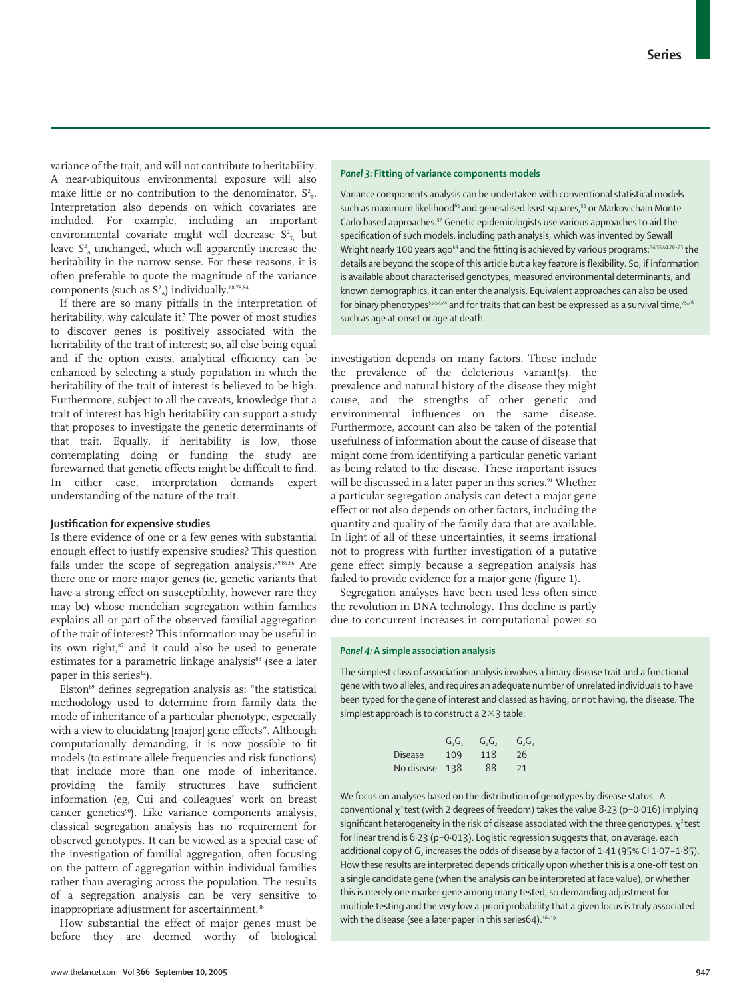variance of the trait, and will not contribute to heritability. A near-ubiquitous environmental exposure will also make little or no contribution to the denominator,  $S^2_{T}$ . Interpretation also depends on which covariates are included. For example, including an important environmental covariate might well decrease  $S_{T_{n}}$  but leave *S2 <sup>A</sup>* unchanged, which will apparently increase the heritability in the narrow sense. For these reasons, it is often preferable to quote the magnitude of the variance components (such as  $S^2$ <sub>A</sub>) individually.<sup>68,78,84</sup>

If there are so many pitfalls in the interpretation of heritability, why calculate it? The power of most studies to discover genes is positively associated with the heritability of the trait of interest; so, all else being equal and if the option exists, analytical efficiency can be enhanced by selecting a study population in which the heritability of the trait of interest is believed to be high. Furthermore, subject to all the caveats, knowledge that a trait of interest has high heritability can support a study that proposes to investigate the genetic determinants of that trait. Equally, if heritability is low, those contemplating doing or funding the study are forewarned that genetic effects might be difficult to find. In either case, interpretation demands expert understanding of the nature of the trait.

# **Justification for expensive studies**

Is there evidence of one or a few genes with substantial enough effect to justify expensive studies? This question falls under the scope of segregation analysis.29,85,86 Are there one or more major genes (ie, genetic variants that have a strong effect on susceptibility, however rare they may be) whose mendelian segregation within families explains all or part of the observed familial aggregation of the trait of interest? This information may be useful in its own right,<sup>87</sup> and it could also be used to generate estimates for a parametric linkage analysis<sup>88</sup> (see a later paper in this series<sup>12</sup>).

Elston<sup>89</sup> defines segregation analysis as: "the statistical methodology used to determine from family data the mode of inheritance of a particular phenotype, especially with a view to elucidating [major] gene effects". Although computationally demanding, it is now possible to fit models (to estimate allele frequencies and risk functions) that include more than one mode of inheritance, providing the family structures have sufficient information (eg, Cui and colleagues' work on breast cancer genetics<sup>90</sup>). Like variance components analysis, classical segregation analysis has no requirement for observed genotypes. It can be viewed as a special case of the investigation of familial aggregation, often focusing on the pattern of aggregation within individual families rather than averaging across the population. The results of a segregation analysis can be very sensitive to inappropriate adjustment for ascertainment.<sup>38</sup>

How substantial the effect of major genes must be before they are deemed worthy of biological

## *Panel 3:* **Fitting of variance components models**

Variance components analysis can be undertaken with conventional statistical models such as maximum likelihood<sup>65</sup> and generalised least squares,<sup>55</sup> or Markov chain Monte Carlo based approaches.57 Genetic epidemiologists use various approaches to aid the specification of such models, including path analysis, which was invented by Sewall Wright nearly 100 years ago<sup>69</sup> and the fitting is achieved by various programs;<sup>54,55,61,70-73</sup> the details are beyond the scope of this article but a key feature is flexibility. So, if information is available about characterised genotypes, measured environmental determinants, and known demographics, it can enter the analysis. Equivalent approaches can also be used for binary phenotypes<sup>55,57,74</sup> and for traits that can best be expressed as a survival time,<sup>75,76</sup> such as age at onset or age at death.

investigation depends on many factors. These include the prevalence of the deleterious variant(s), the prevalence and natural history of the disease they might cause, and the strengths of other genetic and environmental influences on the same disease. Furthermore, account can also be taken of the potential usefulness of information about the cause of disease that might come from identifying a particular genetic variant as being related to the disease. These important issues will be discussed in a later paper in this series.<sup>91</sup> Whether a particular segregation analysis can detect a major gene effect or not also depends on other factors, including the quantity and quality of the family data that are available. In light of all of these uncertainties, it seems irrational not to progress with further investigation of a putative gene effect simply because a segregation analysis has failed to provide evidence for a major gene (figure 1).

Segregation analyses have been used less often since the revolution in DNA technology. This decline is partly due to concurrent increases in computational power so

# *Panel 4:* **A simple association analysis**

The simplest class of association analysis involves a binary disease trait and a functional gene with two alleles, and requires an adequate number of unrelated individuals to have been typed for the gene of interest and classed as having, or not having, the disease. The simplest approach is to construct a  $2\times 3$  table:

|                | G.G. | G, G, | G, G, |
|----------------|------|-------|-------|
| Disease        | 109  | 118   | 26    |
| No disease 138 |      | 88    | 21    |

We focus on analyses based on the distribution of genotypes by disease status . A conventional  $\chi^2$  test (with 2 degrees of freedom) takes the value 8.23 (p=0.016) implying significant heterogeneity in the risk of disease associated with the three genotypes.  $\chi^2$  test for linear trend is 6·23 (p=0·013). Logistic regression suggests that, on average, each additional copy of  $G_2$  increases the odds of disease by a factor of 1.41 (95% CI 1.07-1.85). How these results are interpreted depends critically upon whether this is a one-off test on a single candidate gene (when the analysis can be interpreted at face value), or whether this is merely one marker gene among many tested, so demanding adjustment for multiple testing and the very low a-priori probability that a given locus is truly associated with the disease (see a later paper in this series 64).<sup>16-19</sup>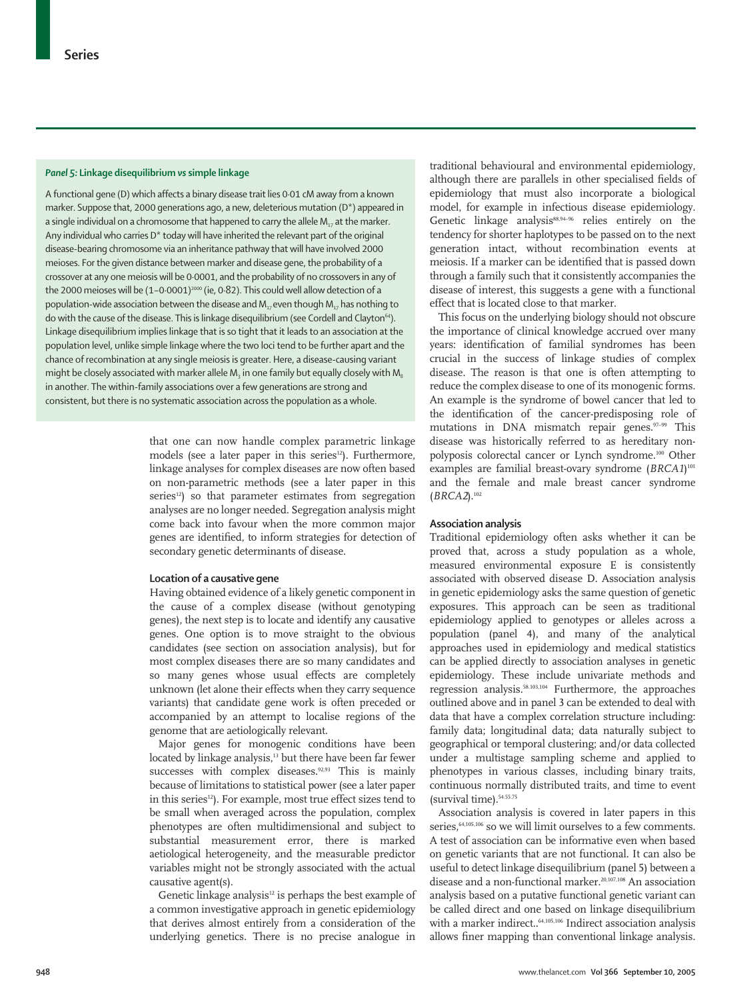## *Panel 5:* **Linkage disequilibrium** *vs***simple linkage**

A functional gene (D) which affects a binary disease trait lies 0·01 cM away from a known marker. Suppose that, 2000 generations ago, a new, deleterious mutation (D\*) appeared in a single individual on a chromosome that happened to carry the allele  $M_{17}$  at the marker. Any individual who carries D\* today will have inherited the relevant part of the original disease-bearing chromosome via an inheritance pathway that will have involved 2000 meioses. For the given distance between marker and disease gene, the probability of a crossover at any one meiosis will be 0·0001, and the probability of no crossovers in any of the 2000 meioses will be  $(1-0.0001)^{2000}$  (ie, 0.82). This could well allow detection of a population-wide association between the disease and  $M_{17}$  even though  $M_{17}$  has nothing to do with the cause of the disease. This is linkage disequilibrium (see Cordell and Clayton<sup>64</sup>). Linkage disequilibrium implies linkage that is so tight that it leads to an association at the population level, unlike simple linkage where the two loci tend to be further apart and the chance of recombination at any single meiosis is greater. Here, a disease-causing variant might be closely associated with marker allele M<sub>3</sub> in one family but equally closely with M<sub>8</sub> in another. The within-family associations over a few generations are strong and consistent, but there is no systematic association across the population as a whole.

> that one can now handle complex parametric linkage models (see a later paper in this series<sup>12</sup>). Furthermore, linkage analyses for complex diseases are now often based on non-parametric methods (see a later paper in this series<sup>12</sup>) so that parameter estimates from segregation analyses are no longer needed. Segregation analysis might come back into favour when the more common major genes are identified, to inform strategies for detection of secondary genetic determinants of disease.

#### **Location of a causative gene**

Having obtained evidence of a likely genetic component in the cause of a complex disease (without genotyping genes), the next step is to locate and identify any causative genes. One option is to move straight to the obvious candidates (see section on association analysis), but for most complex diseases there are so many candidates and so many genes whose usual effects are completely unknown (let alone their effects when they carry sequence variants) that candidate gene work is often preceded or accompanied by an attempt to localise regions of the genome that are aetiologically relevant.

Major genes for monogenic conditions have been located by linkage analysis,<sup>13</sup> but there have been far fewer successes with complex diseases.<sup>92,93</sup> This is mainly because of limitations to statistical power (see a later paper in this series<sup>12</sup>). For example, most true effect sizes tend to be small when averaged across the population, complex phenotypes are often multidimensional and subject to substantial measurement error, there is marked aetiological heterogeneity, and the measurable predictor variables might not be strongly associated with the actual causative agent(s).

Genetic linkage analysis<sup>12</sup> is perhaps the best example of a common investigative approach in genetic epidemiology that derives almost entirely from a consideration of the underlying genetics. There is no precise analogue in

traditional behavioural and environmental epidemiology, although there are parallels in other specialised fields of epidemiology that must also incorporate a biological model, for example in infectious disease epidemiology. Genetic linkage analysis<sup>88,94-96</sup> relies entirely on the tendency for shorter haplotypes to be passed on to the next generation intact, without recombination events at meiosis. If a marker can be identified that is passed down through a family such that it consistently accompanies the disease of interest, this suggests a gene with a functional effect that is located close to that marker.

This focus on the underlying biology should not obscure the importance of clinical knowledge accrued over many years: identification of familial syndromes has been crucial in the success of linkage studies of complex disease. The reason is that one is often attempting to reduce the complex disease to one of its monogenic forms. An example is the syndrome of bowel cancer that led to the identification of the cancer-predisposing role of mutations in DNA mismatch repair genes.<sup>97-99</sup> This disease was historically referred to as hereditary nonpolyposis colorectal cancer or Lynch syndrome.100 Other examples are familial breast-ovary syndrome (*BRCA1*) 101 and the female and male breast cancer syndrome (*BRCA2*).102

# **Association analysis**

Traditional epidemiology often asks whether it can be proved that, across a study population as a whole, measured environmental exposure E is consistently asso*c*iated with observed disease D. Association analysis in genetic epidemiology asks the same question of genetic exposures. This approach can be seen as traditional epidemiology applied to genotypes or alleles across a population (panel 4), and many of the analytical approaches used in epidemiology and medical statistics can be applied directly to association analyses in genetic epidemiology. These include univariate methods and regression analysis.58.103,104 Furthermore, the approaches outlined above and in panel 3 can be extended to deal with data that have a complex correlation structure including: family data; longitudinal data; data naturally subject to geographical or temporal clustering; and/or data collected under a multistage sampling scheme and applied to phenotypes in various classes, including binary traits, continuous normally distributed traits, and time to event (survival time).<sup>54.55.75</sup>

Association analysis is covered in later papers in this series.<sup>64,105,106</sup> so we will limit ourselves to a few comments. A test of association can be informative even when based on genetic variants that are not functional. It can also be useful to detect linkage disequilibrium (panel 5) between a disease and a non-functional marker.20,107,108 An association analysis based on a putative functional genetic variant can be called direct and one based on linkage disequilibrium with a marker indirect..<sup>64,105,106</sup> Indirect association analysis allows finer mapping than conventional linkage analysis.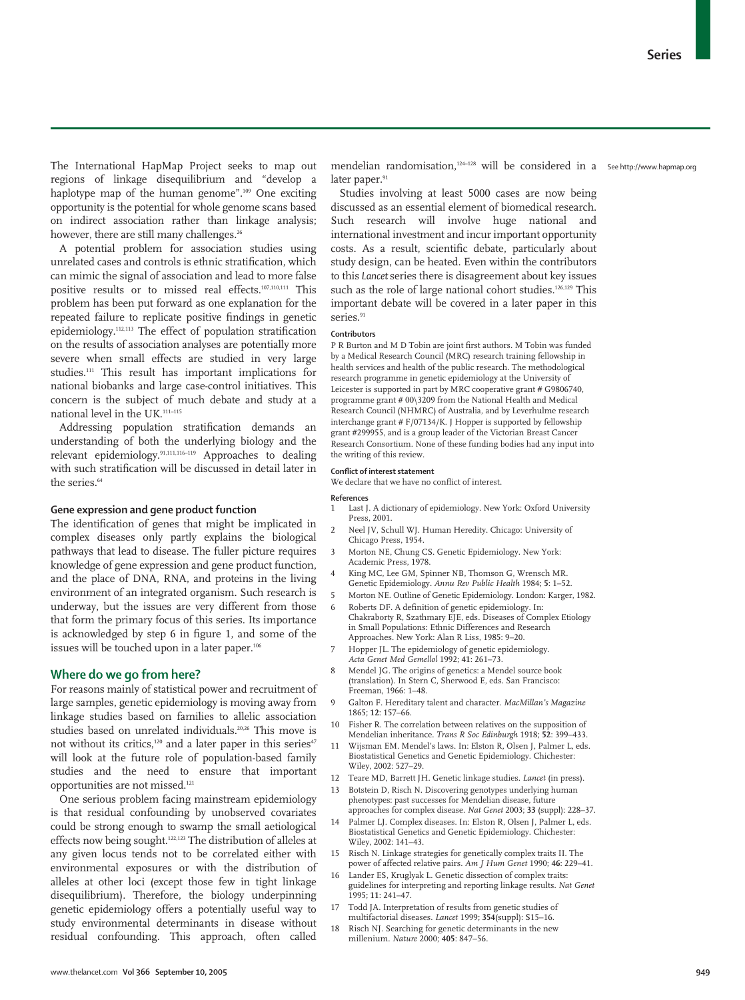The International HapMap Project seeks to map out regions of linkage disequilibrium and "develop a haplotype map of the human genome".<sup>109</sup> One exciting opportunity is the potential for whole genome scans based on indirect association rather than linkage analysis; however, there are still many challenges.<sup>26</sup>

A potential problem for association studies using unrelated cases and controls is ethnic stratification, which can mimic the signal of association and lead to more false positive results or to missed real effects.107,110,111 This problem has been put forward as one explanation for the repeated failure to replicate positive findings in genetic epidemiology.112,113 The effect of population stratification on the results of association analyses are potentially more severe when small effects are studied in very large studies.111 This result has important implications for national biobanks and large case-control initiatives. This concern is the subject of much debate and study at a national level in the UK.111–115

Addressing population stratification demands an understanding of both the underlying biology and the relevant epidemiology.91,111,116–119 Approaches to dealing with such stratification will be discussed in detail later in the series.<sup>64</sup>

## **Gene expression and gene product function**

The identification of genes that might be implicated in complex diseases only partly explains the biological pathways that lead to disease. The fuller picture requires knowledge of gene expression and gene product function, and the place of DNA, RNA, and proteins in the living environment of an integrated organism. Such research is underway, but the issues are very different from those that form the primary focus of this series. Its importance is acknowledged by step 6 in figure 1, and some of the issues will be touched upon in a later paper.106

#### **Where do we go from here?**

For reasons mainly of statistical power and recruitment of large samples, genetic epidemiology is moving away from linkage studies based on families to allelic association studies based on unrelated individuals.20,26 This move is not without its critics, $120$  and a later paper in this series<sup>47</sup> will look at the future role of population-based family studies and the need to ensure that important opportunities are not missed.121

One serious problem facing mainstream epidemiology is that residual confounding by unobserved covariates could be strong enough to swamp the small aetiological effects now being sought.122,123 The distribution of alleles at any given locus tends not to be correlated either with environmental exposures or with the distribution of alleles at other loci (except those few in tight linkage disequilibrium). Therefore, the biology underpinning genetic epidemiology offers a potentially useful way to study environmental determinants in disease without residual confounding. This approach, often called

mendelian randomisation,124–128 will be considered in a See http://www.hapmap.orglater paper.<sup>91</sup>

Studies involving at least 5000 cases are now being discussed as an essential element of biomedical research. Such research will involve huge national and international investment and incur important opportunity costs. As a result, scientific debate, particularly about study design, can be heated. Even within the contributors to this *Lancet* series there is disagreement about key issues such as the role of large national cohort studies.<sup>126,129</sup> This important debate will be covered in a later paper in this series<sup>91</sup>

#### **Contributors**

P R Burton and M D Tobin are joint first authors. M Tobin was funded by a Medical Research Council (MRC) research training fellowship in health services and health of the public research. The methodological research programme in genetic epidemiology at the University of Leicester is supported in part by MRC cooperative grant # G9806740, programme grant # 00\3209 from the National Health and Medical Research Council (NHMRC) of Australia, and by Leverhulme research interchange grant # F/07134/K. J Hopper is supported by fellowship grant #299955, and is a group leader of the Victorian Breast Cancer Research Consortium. None of these funding bodies had any input into the writing of this review.

### **Conflict of interest statement**

We declare that we have no conflict of interest.

**References**

- 1 Last J. A dictionary of epidemiology. New York: Oxford University Press, 2001.
- 2 Neel JV, Schull WJ. Human Heredity. Chicago: University of Chicago Press, 1954.
- 3 Morton NE, Chung CS. Genetic Epidemiology. New York: Academic Press, 1978.
- King MC, Lee GM, Spinner NB, Thomson G, Wrensch MR. Genetic Epidemiology. *Annu Rev Public Health* 1984; **5**: 1–52.
- 5 Morton NE. Outline of Genetic Epidemiology. London: Karger, 1982. 6 Roberts DF. A definition of genetic epidemiology. In:
- Chakraborty R, Szathmary EJE, eds. Diseases of Complex Etiology in Small Populations: Ethnic Differences and Research Approaches. New York: Alan R Liss, 1985: 9–20.
- Hopper JL. The epidemiology of genetic epidemiology. *Acta Genet Med Gemellol* 1992; **41**: 261–73.
- Mendel JG. The origins of genetics: a Mendel source book (translation). In Stern C, Sherwood E, eds. San Francisco: Freeman, 1966: 1–48.
- 9 Galton F. Hereditary talent and character. *MacMillan's Magazine* 1865; **12**: 157–66.
- Fisher R. The correlation between relatives on the supposition of Mendelian inheritance. *Trans R Soc Edinburgh* 1918; **52**: 399–433.
- Wijsman EM. Mendel's laws. In: Elston R, Olsen J, Palmer L, eds. Biostatistical Genetics and Genetic Epidemiology. Chichester: Wiley, 2002: 527–29.
- 12 Teare MD, Barrett JH. Genetic linkage studies. *Lancet* (in press).
- Botstein D, Risch N. Discovering genotypes underlying human phenotypes: past successes for Mendelian disease, future approaches for complex disease. *Nat Genet* 2003; **33** (suppl): 228–37.
- 14 Palmer LJ. Complex diseases. In: Elston R, Olsen J, Palmer L, eds. Biostatistical Genetics and Genetic Epidemiology. Chichester: Wiley, 2002: 141–43.
- Risch N. Linkage strategies for genetically complex traits II. The power of affected relative pairs. *Am J Hum Genet* 1990; **46**: 229–41.
- 16 Lander ES, Kruglyak L. Genetic dissection of complex traits: guidelines for interpreting and reporting linkage results. *Nat Genet* 1995; **11**: 241–47.
- 17 Todd JA. Interpretation of results from genetic studies of multifactorial diseases. *Lancet* 1999; **354**(suppl): S15–16.
- 18 Risch NJ. Searching for genetic determinants in the new millenium. *Nature* 2000; **405**: 847–56.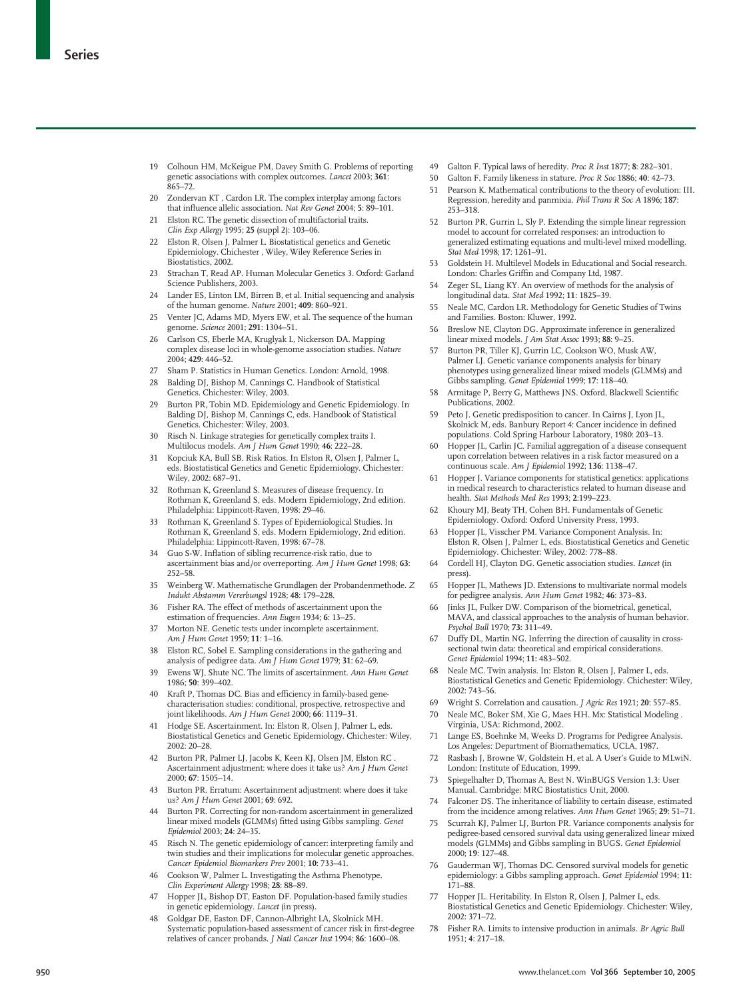- 19 Colhoun HM, McKeigue PM, Davey Smith G. Problems of reporting genetic associations with complex outcomes. *Lancet* 2003; **361**: 865–72.
- 20 Zondervan KT , Cardon LR. The complex interplay among factors that influence allelic association. *Nat Rev Genet* 2004; **5**: 89–101.
- 21 Elston RC. The genetic dissection of multifactorial traits. *Clin Exp Allergy* 1995; **25** (suppl 2): 103–06.
- 22 Elston R, Olsen J, Palmer L. Biostatistical genetics and Genetic Epidemiology. Chichester , Wiley, Wiley Reference Series in Biostatistics, 2002.
- 23 Strachan T, Read AP. Human Molecular Genetics 3. Oxford: Garland Science Publishers, 2003.
- 24 Lander ES, Linton LM, Birren B, et al. Initial sequencing and analysis of the human genome. *Nature* 2001; **409**: 860–921.
- 25 Venter JC, Adams MD, Myers EW, et al. The sequence of the human genome. *Science* 2001; **291**: 1304–51.
- 26 Carlson CS, Eberle MA, Kruglyak L, Nickerson DA. Mapping complex disease loci in whole-genome association studies. *Nature* 2004; **429**: 446–52.
- 27 Sham P. Statistics in Human Genetics. London: Arnold, 1998.
- 28 Balding DJ, Bishop M, Cannings C. Handbook of Statistical Genetics. Chichester: Wiley, 2003.
- 29 Burton PR, Tobin MD. Epidemiology and Genetic Epidemiology. In Balding DJ, Bishop M, Cannings C, eds. Handbook of Statistical Genetics. Chichester: Wiley, 2003.
- 30 Risch N. Linkage strategies for genetically complex traits I. Multilocus models. *Am J Hum Genet* 1990; **46**: 222–28.
- 31 Kopciuk KA, Bull SB. Risk Ratios. In Elston R, Olsen J, Palmer L, eds. Biostatistical Genetics and Genetic Epidemiology. Chichester: Wiley, 2002: 687–91.
- 32 Rothman K, Greenland S. Measures of disease frequency. In Rothman K, Greenland S, eds. Modern Epidemiology, 2nd edition. Philadelphia: Lippincott-Raven, 1998: 29–46.
- 33 Rothman K, Greenland S. Types of Epidemiological Studies. In Rothman K, Greenland S, eds. Modern Epidemiology, 2nd edition. Philadelphia: Lippincott-Raven, 1998: 67–78.
- 34 Guo S-W. Inflation of sibling recurrence-risk ratio, due to ascertainment bias and/or overreporting. *Am J Hum Genet* 1998; **63**: 252–58.
- 35 Weinberg W. Mathematische Grundlagen der Probandenmethode. *Z Indukt Abstamm Vererbungsl* 1928; **48**: 179–228.
- 36 Fisher RA. The effect of methods of ascertainment upon the estimation of frequencies. *Ann Eugen* 1934; **6**: 13–25.
- 37 Morton NE. Genetic tests under incomplete ascertainment. *Am J Hum Genet* 1959; **11**: 1–16.
- 38 Elston RC, Sobel E. Sampling considerations in the gathering and analysis of pedigree data. *Am J Hum Genet* 1979; **31**: 62–69.
- 39 Ewens WJ, Shute NC. The limits of ascertainment. *Ann Hum Genet* 1986; **50**: 399–402.
- 40 Kraft P, Thomas DC. Bias and efficiency in family-based genecharacterisation studies: conditional, prospective, retrospective and joint likelihoods. *Am J Hum Genet* 2000; **66**: 1119–31.
- 41 Hodge SE. Ascertainment. In: Elston R, Olsen J, Palmer L, eds. Biostatistical Genetics and Genetic Epidemiology. Chichester: Wiley, 2002: 20–28.
- 42 Burton PR, Palmer LJ, Jacobs K, Keen KJ, Olsen JM, Elston RC . Ascertainment adjustment: where does it take us? *Am J Hum Genet* 2000; **67**: 1505–14.
- 43 Burton PR. Erratum: Ascertainment adjustment: where does it take us? *Am J Hum Genet* 2001; **69**: 692.
- 44 Burton PR. Correcting for non-random ascertainment in generalized linear mixed models (GLMMs) fitted using Gibbs sampling. *Genet Epidemiol* 2003; **24**: 24–35.
- Risch N. The genetic epidemiology of cancer: interpreting family and twin studies and their implications for molecular genetic approaches. *Cancer Epidemiol Biomarkers Prev* 2001; **10**: 733–41.
- 46 Cookson W, Palmer L. Investigating the Asthma Phenotype. *Clin Experiment Allergy* 1998; **28**: 88–89.
- 47 Hopper JL, Bishop DT, Easton DF. Population-based family studies in genetic epidemiology. *Lancet* (in press).
- 48 Goldgar DE, Easton DF, Cannon-Albright LA, Skolnick MH. Systematic population-based assessment of cancer risk in first-degree relatives of cancer probands. *J Natl Cancer Inst* 1994; **86**: 1600–08.
- 49 Galton F. Typical laws of heredity. *Proc R Inst* 1877; **8**: 282–301.
- 50 Galton F. Family likeness in stature. *Proc R Soc* 1886; **40**: 42–73.
- 51 Pearson K. Mathematical contributions to the theory of evolution: III. Regression, heredity and panmixia. *Phil Trans R Soc A* 1896; **187**: 253–318.
- 52 Burton PR, Gurrin L, Sly P. Extending the simple linear regression model to account for correlated responses: an introduction to generalized estimating equations and multi-level mixed modelling. *Stat Med* 1998; **17**: 1261–91.
- 53 Goldstein H. Multilevel Models in Educational and Social research. London: Charles Griffin and Company Ltd, 1987.
- 54 Zeger SL, Liang KY. An overview of methods for the analysis of longitudinal data. *Stat Med* 1992; **11**: 1825–39.
- 55 Neale MC, Cardon LR. Methodology for Genetic Studies of Twins and Families. Boston: Kluwer, 1992.
- 56 Breslow NE, Clayton DG. Approximate inference in generalized linear mixed models. *J Am Stat Assoc* 1993; **88**: 9–25.
- 57 Burton PR, Tiller KJ, Gurrin LC, Cookson WO, Musk AW, Palmer LJ. Genetic variance components analysis for binary phenotypes using generalized linear mixed models (GLMMs) and Gibbs sampling. *Genet Epidemiol* 1999; **17**: 118–40.
- 58 Armitage P, Berry G, Matthews JNS. Oxford, Blackwell Scientific Publications, 2002.
- 59 Peto J. Genetic predisposition to cancer. In Cairns J, Lyon JL, Skolnick M, eds. Banbury Report 4: Cancer incidence in defined populations. Cold Spring Harbour Laboratory, 1980: 203–13.
- Hopper JL, Carlin JC. Familial aggregation of a disease consequent upon correlation between relatives in a risk factor measured on a continuous scale. *Am J Epidemiol* 1992; **136**: 1138–47.
- 61 Hopper J. Variance components for statistical genetics: applications in medical research to characteristics related to human disease and health. *Stat Methods Med Res* 1993; **2**:199–223.
- 62 Khoury MJ, Beaty TH, Cohen BH. Fundamentals of Genetic Epidemiology. Oxford: Oxford University Press, 1993.
- 63 Hopper JL, Visscher PM. Variance Component Analysis. In: Elston R, Olsen J, Palmer L, eds. Biostatistical Genetics and Genetic Epidemiology. Chichester: Wiley, 2002: 778–88.
- 64 Cordell HJ, Clayton DG. Genetic association studies. *Lancet* (in press).
- 65 Hopper JL, Mathews JD. Extensions to multivariate normal models for pedigree analysis. *Ann Hum Genet* 1982; **46**: 373–83.
- 66 Jinks JL, Fulker DW. Comparison of the biometrical, genetical, MAVA, and classical approaches to the analysis of human behavior. *Psychol Bull* 1970; **73:** 311–49.
- 67 Duffy DL, Martin NG. Inferring the direction of causality in crosssectional twin data: theoretical and empirical considerations. *Genet Epidemiol* 1994; **11:** 483–502.
- 68 Neale MC. Twin analysis. In: Elston R, Olsen J, Palmer L, eds. Biostatistical Genetics and Genetic Epidemiology. Chichester: Wiley, 2002: 743–56.
- 69 Wright S. Correlation and causation. *J Agric Res* 1921; **20**: 557–85.
- 70 Neale MC, Boker SM, Xie G, Maes HH. Mx: Statistical Modeling . Virginia, USA: Richmond, 2002.
- Lange ES, Boehnke M, Weeks D. Programs for Pedigree Analysis. Los Angeles: Department of Biomathematics, UCLA, 1987.
- 72 Rasbash J, Browne W, Goldstein H, et al. A User's Guide to MLwiN. London: Institute of Education, 1999.
- Spiegelhalter D, Thomas A, Best N. WinBUGS Version 1.3: User Manual. Cambridge: MRC Biostatistics Unit, 2000.
- 74 Falconer DS. The inheritance of liability to certain disease, estimated from the incidence among relatives. *Ann Hum Genet* 1965; **29**: 51–71.
- 75 Scurrah KJ, Palmer LJ, Burton PR. Variance components analysis for pedigree-based censored survival data using generalized linear mixed models (GLMMs) and Gibbs sampling in BUGS. *Genet Epidemiol* 2000; **19**: 127–48.
- 76 Gauderman WJ, Thomas DC. Censored survival models for genetic epidemiology: a Gibbs sampling approach. *Genet Epidemiol* 1994; **11**: 171–88.
- 77 Hopper JL. Heritability. In Elston R, Olsen J, Palmer L, eds. Biostatistical Genetics and Genetic Epidemiology. Chichester: Wiley, 2002: 371–72.
- 78 Fisher RA. Limits to intensive production in animals. *Br Agric Bull* 1951; **4**: 217–18.